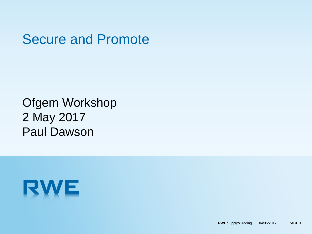## Secure and Promote

#### Ofgem Workshop 2 May 2017 Paul Dawson

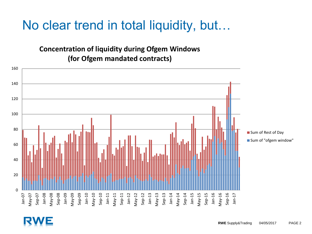## No clear trend in total liquidity, but…

**Concentration of liquidity during Ofgem Windows (for Ofgem mandated contracts)**

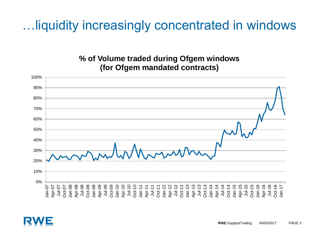## …liquidity increasingly concentrated in windows

#### **% of Volume traded during Ofgem windows (for Ofgem mandated contracts)**



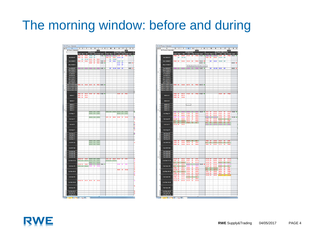## The morning window: before and during





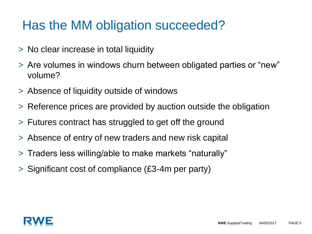## Has the MM obligation succeeded?

- > No clear increase in total liquidity
- > Are volumes in windows churn between obligated parties or "new" volume?
- > Absence of liquidity outside of windows
- > Reference prices are provided by auction outside the obligation
- > Futures contract has struggled to get off the ground
- > Absence of entry of new traders and new risk capital
- > Traders less willing/able to make markets "naturally"
- > Significant cost of compliance (£3-4m per party)

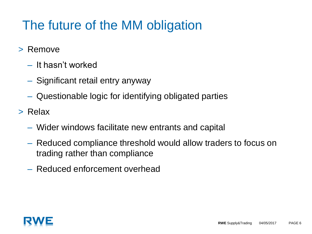# The future of the MM obligation

- > Remove
	- It hasn't worked
	- Significant retail entry anyway
	- Questionable logic for identifying obligated parties
- > Relax
	- Wider windows facilitate new entrants and capital
	- Reduced compliance threshold would allow traders to focus on trading rather than compliance
	- Reduced enforcement overhead